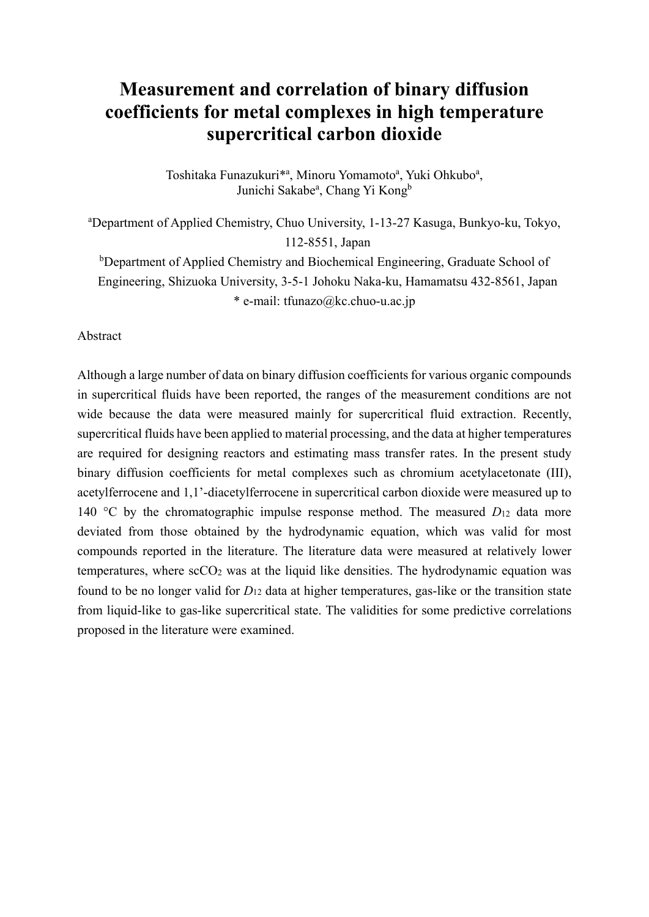# **Measurement and correlation of binary diffusion coefficients for metal complexes in high temperature supercritical carbon dioxide**

Toshitaka Funazukuri<sup>\*a</sup>, Minoru Yomamoto<sup>a</sup>, Yuki Ohkubo<sup>a</sup>, Junichi Sakabe<sup>a</sup>, Chang Yi Kong<sup>b</sup>

a Department of Applied Chemistry, Chuo University, 1-13-27 Kasuga, Bunkyo-ku, Tokyo, 112-8551, Japan

<sup>b</sup>Department of Applied Chemistry and Biochemical Engineering, Graduate School of Engineering, Shizuoka University, 3-5-1 Johoku Naka-ku, Hamamatsu 432-8561, Japan \* e-mail: tfunazo@kc.chuo-u.ac.jp

Abstract

Although a large number of data on binary diffusion coefficients for various organic compounds in supercritical fluids have been reported, the ranges of the measurement conditions are not wide because the data were measured mainly for supercritical fluid extraction. Recently, supercritical fluids have been applied to material processing, and the data at higher temperatures are required for designing reactors and estimating mass transfer rates. In the present study binary diffusion coefficients for metal complexes such as chromium acetylacetonate (III), acetylferrocene and 1,1'-diacetylferrocene in supercritical carbon dioxide were measured up to 140 °C by the chromatographic impulse response method. The measured *D*12 data more deviated from those obtained by the hydrodynamic equation, which was valid for most compounds reported in the literature. The literature data were measured at relatively lower temperatures, where  $\sec 0_2$  was at the liquid like densities. The hydrodynamic equation was found to be no longer valid for *D*12 data at higher temperatures, gas-like or the transition state from liquid-like to gas-like supercritical state. The validities for some predictive correlations proposed in the literature were examined.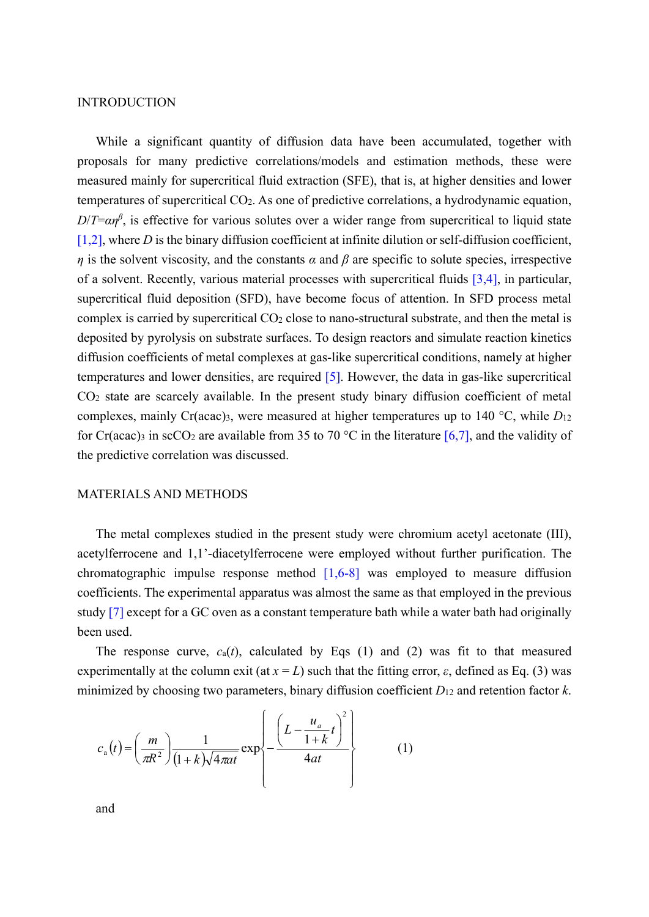# INTRODUCTION

While a significant quantity of diffusion data have been accumulated, together with proposals for many predictive correlations/models and estimation methods, these were measured mainly for supercritical fluid extraction (SFE), that is, at higher densities and lower temperatures of supercritical CO2. As one of predictive correlations, a hydrodynamic equation,  $D/T = \alpha \eta^{\beta}$ , is effective for various solutes over a wider range from supercritical to liquid state  $[1,2]$ , where *D* is the binary diffusion coefficient at infinite dilution or self-diffusion coefficient, *η* is the solvent viscosity, and the constants *α* and *β* are specific to solute species, irrespective of a solvent. Recently, various material processes with supercritical fluids [3,4], in particular, supercritical fluid deposition (SFD), have become focus of attention. In SFD process metal complex is carried by supercritical CO2 close to nano-structural substrate, and then the metal is deposited by pyrolysis on substrate surfaces. To design reactors and simulate reaction kinetics diffusion coefficients of metal complexes at gas-like supercritical conditions, namely at higher temperatures and lower densities, are required [5]. However, the data in gas-like supercritical CO2 state are scarcely available. In the present study binary diffusion coefficient of metal complexes, mainly Cr(acac)3, were measured at higher temperatures up to 140 °C, while *D*<sup>12</sup> for Cr(acac)<sub>3</sub> in scCO<sub>2</sub> are available from 35 to 70 °C in the literature [6,7], and the validity of the predictive correlation was discussed.

# MATERIALS AND METHODS

The metal complexes studied in the present study were chromium acetyl acetonate (III), acetylferrocene and 1,1'-diacetylferrocene were employed without further purification. The chromatographic impulse response method  $[1,6-8]$  was employed to measure diffusion coefficients. The experimental apparatus was almost the same as that employed in the previous study [7] except for a GC oven as a constant temperature bath while a water bath had originally been used.

The response curve,  $c_a(t)$ , calculated by Eqs (1) and (2) was fit to that measured experimentally at the column exit (at  $x = L$ ) such that the fitting error,  $\varepsilon$ , defined as Eq. (3) was minimized by choosing two parameters, binary diffusion coefficient *D*12 and retention factor *k*.

$$
c_{\rm a}(t) = \left(\frac{m}{\pi R^2}\right) \frac{1}{(1+k)\sqrt{4\pi a t}} \exp\left\{-\frac{\left(L - \frac{u_a}{1+k}t\right)^2}{4at}\right\} \tag{1}
$$

and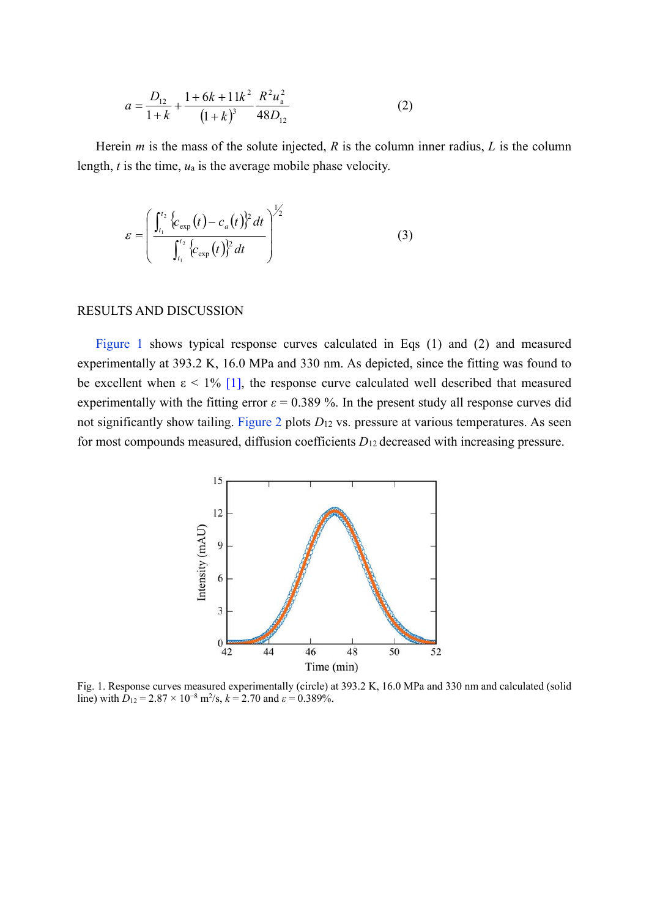$$
a = \frac{D_{12}}{1+k} + \frac{1+6k+11k^2}{(1+k)^3} \frac{R^2 u_a^2}{48D_{12}}
$$
 (2)

Herein *m* is the mass of the solute injected, *R* is the column inner radius, *L* is the column length, *t* is the time, *u*a is the average mobile phase velocity.

$$
\varepsilon = \left( \frac{\int_{t_1}^{t_2} \left\{ c_{\exp}(t) - c_a(t) \right\}^2 dt}{\int_{t_1}^{t_2} \left\{ c_{\exp}(t) \right\}^2 dt} \right)^{\frac{1}{2}}
$$
(3)

#### RESULTS AND DISCUSSION

Figure 1 shows typical response curves calculated in Eqs (1) and (2) and measured experimentally at 393.2 K, 16.0 MPa and 330 nm. As depicted, since the fitting was found to be excellent when  $\epsilon$  < 1% [1], the response curve calculated well described that measured experimentally with the fitting error  $\varepsilon = 0.389$ %. In the present study all response curves did not significantly show tailing. Figure 2 plots *D*12 vs. pressure at various temperatures. As seen for most compounds measured, diffusion coefficients *D*12 decreased with increasing pressure.



Fig. 1. Response curves measured experimentally (circle) at 393.2 K, 16.0 MPa and 330 nm and calculated (solid line) with  $D_{12} = 2.87 \times 10^{-8}$  m<sup>2</sup>/s,  $k = 2.70$  and  $\varepsilon = 0.389\%$ .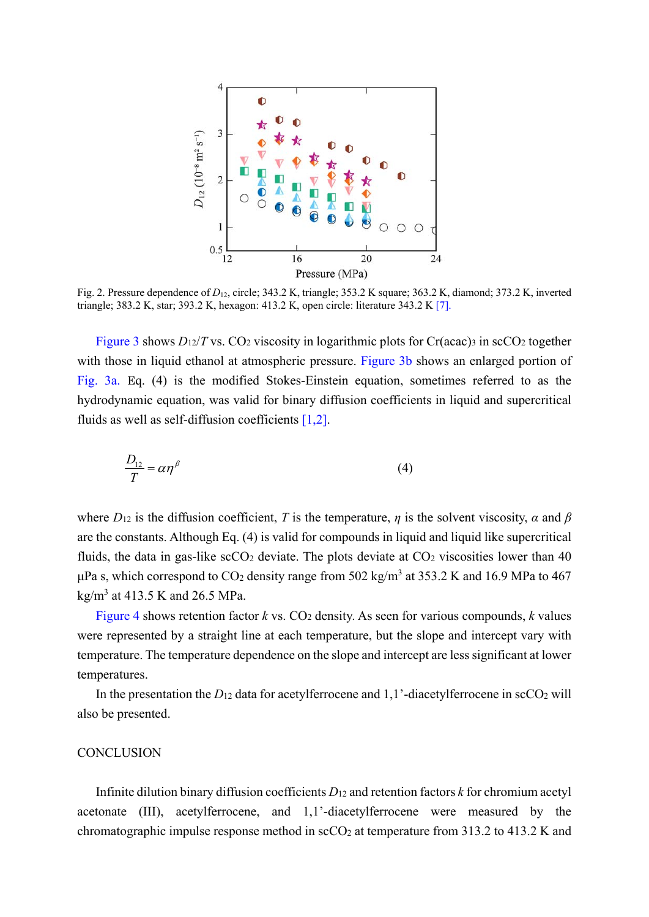

Fig. 2. Pressure dependence of *D*<sub>12</sub>, circle; 343.2 K, triangle; 353.2 K square; 363.2 K, diamond; 373.2 K, inverted triangle; 383.2 K, star; 393.2 K, hexagon: 413.2 K, open circle: literature 343.2 K [7].

Figure 3 shows  $D_1/2/T$  vs. CO<sub>2</sub> viscosity in logarithmic plots for Cr(acac)<sub>3</sub> in scCO<sub>2</sub> together with those in liquid ethanol at atmospheric pressure. Figure 3b shows an enlarged portion of Fig. 3a. Eq. (4) is the modified Stokes-Einstein equation, sometimes referred to as the hydrodynamic equation, was valid for binary diffusion coefficients in liquid and supercritical fluids as well as self-diffusion coefficients [1,2].

$$
\frac{D_{12}}{T} = \alpha \eta^{\beta} \tag{4}
$$

where  $D_{12}$  is the diffusion coefficient, *T* is the temperature, *η* is the solvent viscosity, *α* and *β* are the constants. Although Eq. (4) is valid for compounds in liquid and liquid like supercritical fluids, the data in gas-like  $\sec O_2$  deviate. The plots deviate at  $CO_2$  viscosities lower than 40 μPa s, which correspond to CO<sub>2</sub> density range from 502 kg/m<sup>3</sup> at 353.2 K and 16.9 MPa to 467  $\text{kg/m}^3$  at 413.5 K and 26.5 MPa.

Figure 4 shows retention factor  $k$  vs.  $CO_2$  density. As seen for various compounds,  $k$  values were represented by a straight line at each temperature, but the slope and intercept vary with temperature. The temperature dependence on the slope and intercept are less significant at lower temperatures.

In the presentation the  $D_{12}$  data for acetylferrocene and  $1,1'$ -diacetylferrocene in scCO<sub>2</sub> will also be presented.

# **CONCLUSION**

Infinite dilution binary diffusion coefficients *D*12 and retention factors *k* for chromium acetyl acetonate (III), acetylferrocene, and 1,1'-diacetylferrocene were measured by the chromatographic impulse response method in  $\rm{scCO_2}$  at temperature from 313.2 to 413.2 K and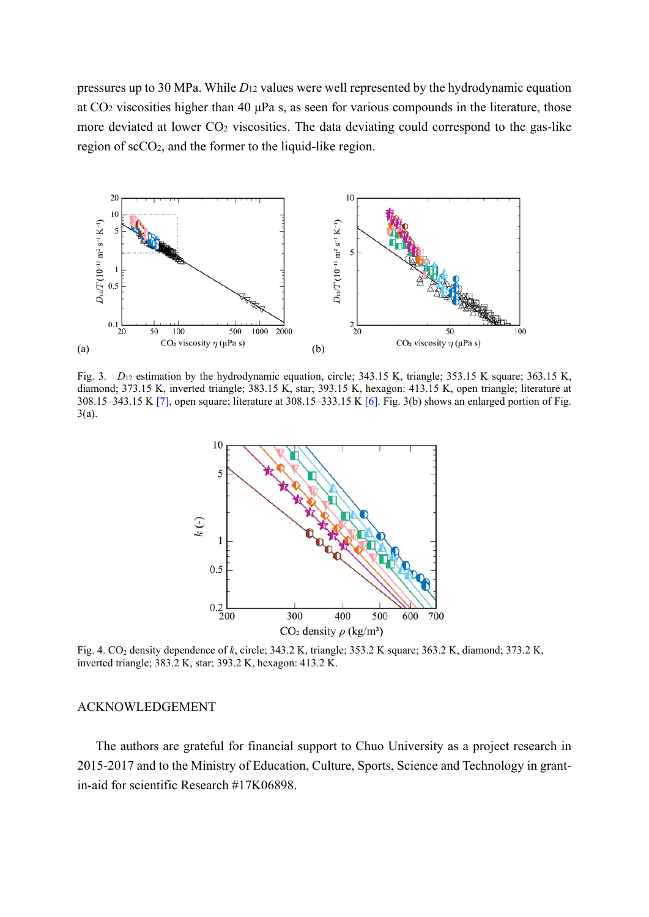pressures up to 30 MPa. While *D*12 values were well represented by the hydrodynamic equation at CO2 viscosities higher than 40 μPa s, as seen for various compounds in the literature, those more deviated at lower CO2 viscosities. The data deviating could correspond to the gas-like region of scCO2, and the former to the liquid-like region.



Fig. 3. *D*<sub>12</sub> estimation by the hydrodynamic equation, circle; 343.15 K, triangle; 353.15 K square; 363.15 K, diamond; 373.15 K, inverted triangle; 383.15 K, star; 393.15 K, hexagon: 413.15 K, open triangle; literature at 308.15–343.15 K [7], open square; literature at 308.15–333.15 K [6]. Fig. 3(b) shows an enlarged portion of Fig. 3(a).



Fig. 4. CO2 density dependence of *k*, circle; 343.2 K, triangle; 353.2 K square; 363.2 K, diamond; 373.2 K, inverted triangle; 383.2 K, star; 393.2 K, hexagon: 413.2 K.

### ACKNOWLEDGEMENT

The authors are grateful for financial support to Chuo University as a project research in 2015-2017 and to the Ministry of Education, Culture, Sports, Science and Technology in grantin-aid for scientific Research #17K06898.